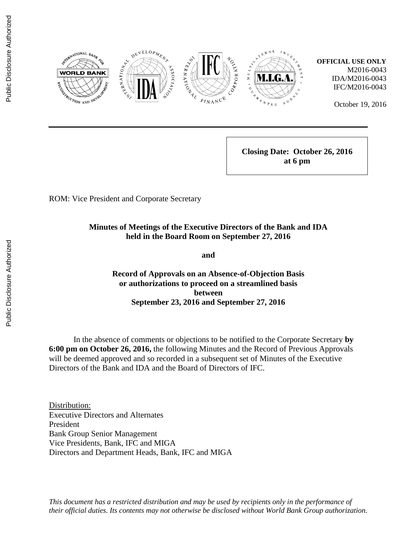

**Closing Date: October 26, 2016 at 6 pm**

ROM: Vice President and Corporate Secretary

#### **Minutes of Meetings of the Executive Directors of the Bank and IDA held in the Board Room on September 27, 2016**

**and**

**Record of Approvals on an Absence-of-Objection Basis or authorizations to proceed on a streamlined basis between September 23, 2016 and September 27, 2016**

In the absence of comments or objections to be notified to the Corporate Secretary **by 6:00 pm on October 26, 2016,** the following Minutes and the Record of Previous Approvals will be deemed approved and so recorded in a subsequent set of Minutes of the Executive Directors of the Bank and IDA and the Board of Directors of IFC.

Distribution: Executive Directors and Alternates President Bank Group Senior Management Vice Presidents, Bank, IFC and MIGA Directors and Department Heads, Bank, IFC and MIGA

*This document has a restricted distribution and may be used by recipients only in the performance of their official duties. Its contents may not otherwise be disclosed without World Bank Group authorization.*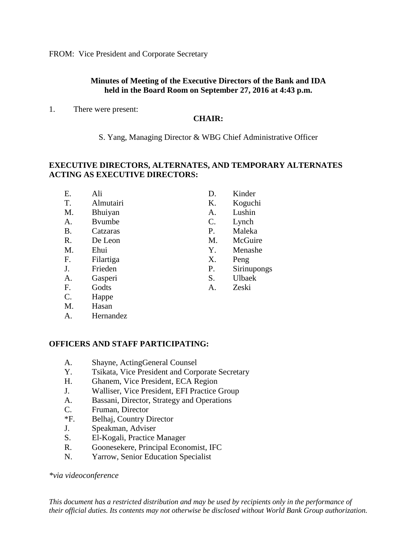## **Minutes of Meeting of the Executive Directors of the Bank and IDA held in the Board Room on September 27, 2016 at 4:43 p.m.**

1. There were present:

## **CHAIR:**

S. Yang, Managing Director & WBG Chief Administrative Officer

## **EXECUTIVE DIRECTORS, ALTERNATES, AND TEMPORARY ALTERNATES ACTING AS EXECUTIVE DIRECTORS:**

| Ε.        | Ali            | D.             | Kinder  |
|-----------|----------------|----------------|---------|
| T.        | Almutairi      | Κ.             | Kogucl  |
| M.        | Bhuiyan        | A.             | Lushin  |
| A.        | <b>B</b> vumbe | $\mathsf{C}$ . | Lynch   |
| <b>B.</b> | Catzaras       | Ρ.             | Maleka  |
| R.        | De Leon        | M.             | McGui   |
| M.        | Ehui           | Y.             | Menasl  |
| F.        | Filartiga      | X.             | Peng    |
| J.        | Frieden        | Ρ.             | Sirinup |
| А.        | Gasperi        | S.             | Ulbaek  |
|           |                |                |         |

- Menashe
	- Sirinupongs

Kinder Koguchi

Maleka McGuire

- Ulbaek
	-
- F. Godts A. Zeski
- C. Happe
- M. Hasan
- A. Hernandez

## **OFFICERS AND STAFF PARTICIPATING:**

- A. Shayne, ActingGeneral Counsel
- Y. Tsikata, Vice President and Corporate Secretary
- H. Ghanem, Vice President, ECA Region
- J. Walliser, Vice President, EFI Practice Group
- A. Bassani, Director, Strategy and Operations
- C. Fruman, Director
- \*F. Belhaj, Country Director
- J. Speakman, Adviser
- S. El-Kogali, Practice Manager
- R. Goonesekere, Principal Economist, IFC
- N. Yarrow, Senior Education Specialist

*\*via videoconference*

*This document has a restricted distribution and may be used by recipients only in the performance of their official duties. Its contents may not otherwise be disclosed without World Bank Group authorization.*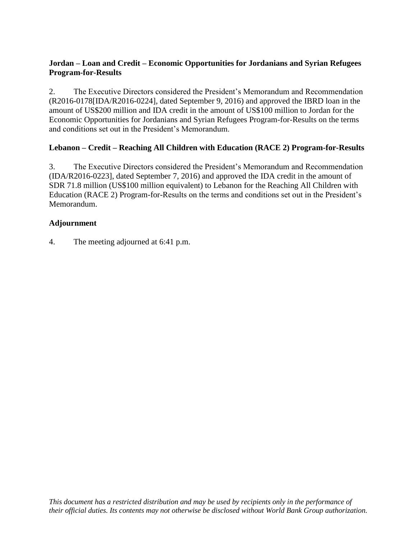# **Jordan – Loan and Credit – Economic Opportunities for Jordanians and Syrian Refugees Program-for-Results**

2. The Executive Directors considered the President's Memorandum and Recommendation (R2016-0178[IDA/R2016-0224], dated September 9, 2016) and approved the IBRD loan in the amount of US\$200 million and IDA credit in the amount of US\$100 million to Jordan for the Economic Opportunities for Jordanians and Syrian Refugees Program-for-Results on the terms and conditions set out in the President's Memorandum.

# **Lebanon – Credit – Reaching All Children with Education (RACE 2) Program-for-Results**

3. The Executive Directors considered the President's Memorandum and Recommendation (IDA/R2016-0223], dated September 7, 2016) and approved the IDA credit in the amount of SDR 71.8 million (US\$100 million equivalent) to Lebanon for the Reaching All Children with Education (RACE 2) Program-for-Results on the terms and conditions set out in the President's Memorandum.

# **Adjournment**

4. The meeting adjourned at 6:41 p.m.